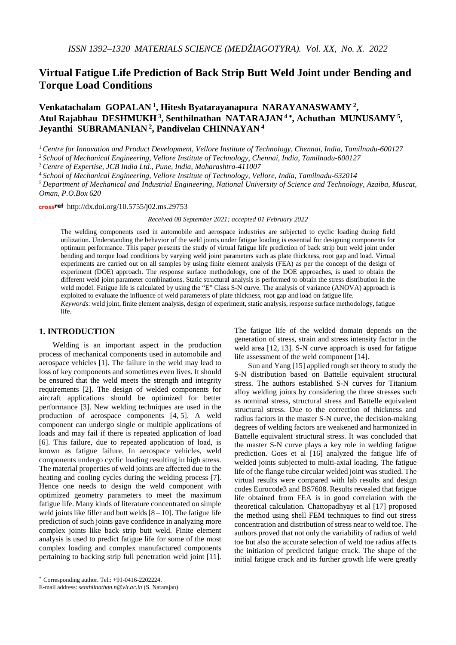# **Virtual Fatigue Life Prediction of Back Strip Butt Weld Joint under Bending and Torque Load Conditions**

# **Venkatachalam GOPALAN 1, Hitesh Byatarayanapura NARAYANASWAMY 2, Atul Rajabhau DESHMUKH 3, Senthilnathan NATARAJAN <sup>4</sup>** <sup>∗</sup>**, Achuthan MUNUSAMY 5, Jeyanthi SUBRAMANIAN 2, Pandivelan CHINNAYAN <sup>4</sup>**

<sup>1</sup> *Centre for Innovation and Product Development, Vellore Institute of Technology, Chennai, India, Tamilnadu-600127*

<sup>2</sup> *School of Mechanical Engineering, Vellore Institute of Technology, Chennai, India, Tamilnadu-600127*

<sup>3</sup> *Centre of Expertise, JCB India Ltd., Pune, India, Maharashtra-411007*

<sup>4</sup> *School of Mechanical Engineering, Vellore Institute of Technology, Vellore, India, Tamilnadu-632014*

<sup>5</sup> *Department of Mechanical and Industrial Engineering, National University of Science and Technology, Azaiba, Muscat, Oman, P.O.Box 620*

crossref http://dx.doi.org/10.5755/j02.ms.29753

*Received 08 September 2021; accepted 01 February 2022*

The welding components used in automobile and aerospace industries are subjected to cyclic loading during field utilization. Understanding the behavior of the weld joints under fatigue loading is essential for designing components for optimum performance. This paper presents the study of virtual fatigue life prediction of back strip butt weld joint under bending and torque load conditions by varying weld joint parameters such as plate thickness, root gap and load. Virtual experiments are carried out on all samples by using finite element analysis (FEA) as per the concept of the design of experiment (DOE) approach. The response surface methodology, one of the DOE approaches, is used to obtain the different weld joint parameter combinations. Static structural analysis is performed to obtain the stress distribution in the weld model. Fatigue life is calculated by using the "E" Class S-N curve. The analysis of variance (ANOVA) approach is exploited to evaluate the influence of weld parameters of plate thickness, root gap and load on fatigue life. *Keywords*: weld joint, finite element analysis, design of experiment, static analysis, response surface methodology, fatigue

life.

### **1. INTRODUCTION**[∗](#page-0-0)

Welding is an important aspect in the production process of mechanical components used in automobile and aerospace vehicles [1]. The failure in the weld may lead to loss of key components and sometimes even lives. It should be ensured that the weld meets the strength and integrity requirements [2]. The design of welded components for aircraft applications should be optimized for better performance [3]. New welding techniques are used in the production of aerospace components [4, 5]. A weld component can undergo single or multiple applications of loads and may fail if there is repeated application of load [6]. This failure, due to repeated application of load, is known as fatigue failure. In aerospace vehicles, weld components undergo cyclic loading resulting in high stress. The material properties of weld joints are affected due to the heating and cooling cycles during the welding process [7]. Hence one needs to design the weld component with optimized geometry parameters to meet the maximum fatigue life. Many kinds of literature concentrated on simple weld joints like filler and butt welds  $[8 - 10]$ . The fatigue life prediction of such joints gave confidence in analyzing more complex joints like back strip butt weld. Finite element analysis is used to predict fatigue life for some of the most complex loading and complex manufactured components pertaining to backing strip full penetration weld joint [11].

<u>.</u>

The fatigue life of the welded domain depends on the generation of stress, strain and stress intensity factor in the weld area [12, 13]. S-N curve approach is used for fatigue life assessment of the weld component [14].

Sun and Yang [15] applied rough set theory to study the S-N distribution based on Battelle equivalent structural stress. The authors established S-N curves for Titanium alloy welding joints by considering the three stresses such as nominal stress, structural stress and Battelle equivalent structural stress. Due to the correction of thickness and radius factors in the master S-N curve, the decision-making degrees of welding factors are weakened and harmonized in Battelle equivalent structural stress. It was concluded that the master S-N curve plays a key role in welding fatigue prediction. Goes et al [16] analyzed the fatigue life of welded joints subjected to multi-axial loading. The fatigue life of the flange tube circular welded joint was studied. The virtual results were compared with lab results and design codes Eurocode3 and BS7608. Results revealed that fatigue life obtained from FEA is in good correlation with the theoretical calculation. Chattopadhyay et al [17] proposed the method using shell FEM techniques to find out stress concentration and distribution of stress near to weld toe. The authors proved that not only the variability of radius of weld toe but also the accurate selection of weld toe radius affects the initiation of predicted fatigue crack. The shape of the initial fatigue crack and its further growth life were greatly

<span id="page-0-0"></span><sup>∗</sup> Corresponding author. Tel.: +91-0416-2202224.

E-mail address: *senthilnathan.n@vit.ac.in* (S. Natarajan)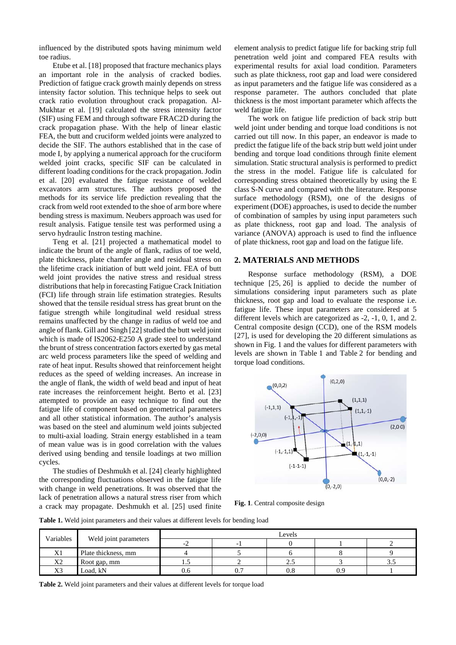influenced by the distributed spots having minimum weld toe radius.

Etube et al. [18] proposed that fracture mechanics plays an important role in the analysis of cracked bodies. Prediction of fatigue crack growth mainly depends on stress intensity factor solution. This technique helps to seek out crack ratio evolution throughout crack propagation. Al-Mukhtar et al. [19] calculated the stress intensity factor (SIF) using FEM and through software FRAC2D during the crack propagation phase. With the help of linear elastic FEA, the butt and cruciform welded joints were analyzed to decide the SIF. The authors established that in the case of mode I, by applying a numerical approach for the cruciform welded joint cracks, specific SIF can be calculated in different loading conditions for the crack propagation. Jodin et al. [20] evaluated the fatigue resistance of welded excavators arm structures. The authors proposed the methods for its service life prediction revealing that the crack from weld root extended to the shoe of arm bore where bending stress is maximum. Neubers approach was used for result analysis. Fatigue tensile test was performed using a servo hydraulic Instron testing machine.

Teng et al. [21] projected a mathematical model to indicate the brunt of the angle of flank, radius of toe weld, plate thickness, plate chamfer angle and residual stress on the lifetime crack initiation of butt weld joint. FEA of butt weld joint provides the native stress and residual stress distributions that help in forecasting Fatigue Crack Initiation (FCI) life through strain life estimation strategies. Results showed that the tensile residual stress has great brunt on the fatigue strength while longitudinal weld residual stress remains unaffected by the change in radius of weld toe and angle of flank. Gill and Singh [22] studied the butt weld joint which is made of IS2062-E250 A grade steel to understand the brunt of stress concentration factors exerted by gas metal arc weld process parameters like the speed of welding and rate of heat input. Results showed that reinforcement height reduces as the speed of welding increases. An increase in the angle of flank, the width of weld bead and input of heat rate increases the reinforcement height. Berto et al. [23] attempted to provide an easy technique to find out the fatigue life of component based on geometrical parameters and all other statistical information. The author's analysis was based on the steel and aluminum weld joints subjected to multi-axial loading. Strain energy established in a team of mean value was is in good correlation with the values derived using bending and tensile loadings at two million cycles.

The studies of Deshmukh et al. [24] clearly highlighted the corresponding fluctuations observed in the fatigue life with change in weld penetrations. It was observed that the lack of penetration allows a natural stress riser from which a crack may propagate. Deshmukh et al. [25] used finite

element analysis to predict fatigue life for backing strip full penetration weld joint and compared FEA results with experimental results for axial load condition. Parameters such as plate thickness, root gap and load were considered as input parameters and the fatigue life was considered as a response parameter. The authors concluded that plate thickness is the most important parameter which affects the weld fatigue life.

The work on fatigue life prediction of back strip butt weld joint under bending and torque load conditions is not carried out till now. In this paper, an endeavor is made to predict the fatigue life of the back strip butt weld joint under bending and torque load conditions through finite element simulation. Static structural analysis is performed to predict the stress in the model. Fatigue life is calculated for corresponding stress obtained theoretically by using the E class S-N curve and compared with the literature. Response surface methodology (RSM), one of the designs of experiment (DOE) approaches, is used to decide the number of combination of samples by using input parameters such as plate thickness, root gap and load. The analysis of variance (ANOVA) approach is used to find the influence of plate thickness, root gap and load on the fatigue life.

#### **2. MATERIALS AND METHODS**

Response surface methodology (RSM), a DOE technique [25, 26] is applied to decide the number of simulations considering input parameters such as plate thickness, root gap and load to evaluate the response i.e. fatigue life. These input parameters are considered at 5 different levels which are categorized as -2, -1, 0, 1, and 2. Central composite design (CCD), one of the RSM models [27], is used for developing the 20 different simulations as shown in Fig. 1 and the values for different parameters with levels are shown in Table 1 and Table 2 for bending and torque load conditions.



**Fig. 1**. Central composite design

**Table 1.** Weld joint parameters and their values at different levels for bending load

|                | Weld joint parameters | Levels |     |          |     |      |  |
|----------------|-----------------------|--------|-----|----------|-----|------|--|
| Variables      |                       |        |     |          |     |      |  |
| X1             | Plate thickness, mm   |        |     |          |     |      |  |
| X <sub>2</sub> | Root gap, mm          | ن. 1   |     | ن ک      |     | ر. ر |  |
| X3             | Load, kN              | 0.6    | v., | $_{0.8}$ | 0.S |      |  |

**Table 2.** Weld joint parameters and their values at different levels for torque load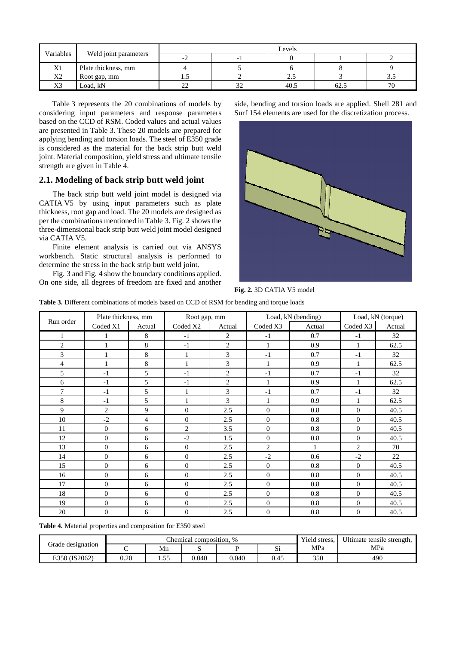| Variables             | Weld joint parameters | Levels        |                          |      |      |      |  |  |
|-----------------------|-----------------------|---------------|--------------------------|------|------|------|--|--|
|                       |                       | $\sim$ .      | $\overline{\phantom{0}}$ |      |      |      |  |  |
| $T$ $T$ $T$<br>ΔI     | Plate thickness, mm   |               |                          |      |      |      |  |  |
| X2                    | Root gap, mm          | ر. 1          |                          | Z.J  |      | ن. ر |  |  |
| V <sub>2</sub><br>л., | Load, kN              | $\sim$<br>ستد | ے ب                      | 40.5 | 62.5 | 70   |  |  |

Table 3 represents the 20 combinations of models by considering input parameters and response parameters based on the CCD of RSM. Coded values and actual values are presented in Table 3. These 20 models are prepared for applying bending and torsion loads. The steel of E350 grade is considered as the material for the back strip butt weld joint. Material composition, yield stress and ultimate tensile strength are given in Table 4.

## **2.1. Modeling of back strip butt weld joint**

The back strip butt weld joint model is designed via CATIA V5 by using input parameters such as plate thickness, root gap and load. The 20 models are designed as per the combinations mentioned in Table 3. Fig. 2 shows the three-dimensional back strip butt weld joint model designed via CATIA V5.

Finite element analysis is carried out via ANSYS workbench. Static structural analysis is performed to determine the stress in the back strip butt weld joint.

Fig. 3 and Fig. 4 show the boundary conditions applied. On one side, all degrees of freedom are fixed and another side, bending and torsion loads are applied. Shell 281 and Surf 154 elements are used for the discretization process.



**Fig. 2.** 3D CATIA V5 model

**Table 3.** Different combinations of models based on CCD of RSM for bending and torque loads

|                | Plate thickness, mm |                | Root gap, mm   |                | Load, kN (bending) |              | Load, kN (torque) |        |
|----------------|---------------------|----------------|----------------|----------------|--------------------|--------------|-------------------|--------|
| Run order      | Coded X1            | Actual         | Coded X2       | Actual         | Coded X3           | Actual       | Coded X3          | Actual |
| 1              |                     | 8              | $-1$           | $\overline{c}$ | $-1$               | 0.7          | $-1$              | 32     |
| $\overline{2}$ |                     | 8              | $-1$           | $\overline{2}$ | 1                  | 0.9          | 1                 | 62.5   |
| 3              |                     | 8              | 1              | 3              | $-1$               | 0.7          | $-1$              | 32     |
| 4              |                     | 8              |                | 3              | 1                  | 0.9          | 1                 | 62.5   |
| 5              | $-1$                | 5              | $-1$           | $\overline{2}$ | $-1$               | 0.7          | $-1$              | 32     |
| 6              | $-1$                | 5              | $-1$           | $\overline{c}$ | 1                  | 0.9          | 1                 | 62.5   |
| 7              | $-1$                | 5              |                | 3              | $-1$               | 0.7          | $-1$              | 32     |
| 8              | $-1$                | 5              |                | 3              |                    | 0.9          | $\mathbf{1}$      | 62.5   |
| 9              | $\overline{c}$      | 9              | $\Omega$       | 2.5            | $\Omega$           | 0.8          | $\Omega$          | 40.5   |
| 10             | $-2$                | $\overline{4}$ | $\Omega$       | 2.5            | $\mathbf{0}$       | 0.8          | $\Omega$          | 40.5   |
| 11             | $\mathbf{0}$        | 6              | $\overline{2}$ | 3.5            | $\mathbf{0}$       | 0.8          | $\theta$          | 40.5   |
| 12             | $\Omega$            | 6              | $-2$           | 1.5            | $\Omega$           | 0.8          | $\Omega$          | 40.5   |
| 13             | $\overline{0}$      | 6              | $\theta$       | 2.5            | $\overline{2}$     | $\mathbf{1}$ | $\overline{2}$    | 70     |
| 14             | $\mathbf{0}$        | 6              | $\theta$       | 2.5            | $-2$               | 0.6          | $-2$              | 22     |
| 15             | $\Omega$            | 6              | $\Omega$       | 2.5            | $\Omega$           | 0.8          | $\Omega$          | 40.5   |
| 16             | $\Omega$            | 6              | $\Omega$       | 2.5            | $\Omega$           | 0.8          | $\theta$          | 40.5   |
| 17             | $\mathbf{0}$        | 6              | $\theta$       | 2.5            | $\mathbf{0}$       | 0.8          | $\Omega$          | 40.5   |
| 18             | $\Omega$            | 6              | $\Omega$       | 2.5            | $\Omega$           | 0.8          | $\Omega$          | 40.5   |
| 19             | $\overline{0}$      | 6              | $\theta$       | 2.5            | $\mathbf{0}$       | 0.8          | $\mathbf{0}$      | 40.5   |
| 20             | $\overline{0}$      | 6              | $\theta$       | 2.5            | $\mathbf{0}$       | 0.8          | $\theta$          | 40.5   |

**Table 4.** Material properties and composition for E350 steel

|                   |      |               | Chemical composition, % |       | Yield stress, | Ultimate tensile strength, |     |
|-------------------|------|---------------|-------------------------|-------|---------------|----------------------------|-----|
| Grade designation |      | Mn            | ມ                       |       | ~·<br>ιυ      | MPa                        | MPa |
| E350 (IS2062)     | 0.20 | 55<br>. . J J | 0.040                   | 0.040 | 0.45          | 350                        | 490 |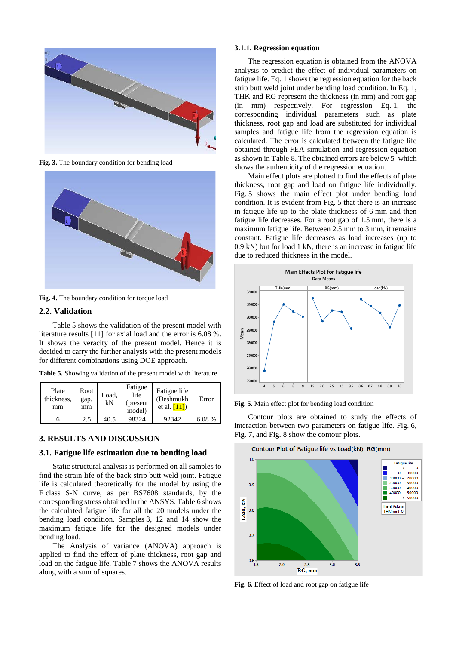

**Fig. 3.** The boundary condition for bending load



**Fig. 4.** The boundary condition for torque load

### **2.2. Validation**

Table 5 shows the validation of the present model with literature results [11] for axial load and the error is 6.08 %. It shows the veracity of the present model. Hence it is decided to carry the further analysis with the present models for different combinations using DOE approach.

**Table 5.** Showing validation of the present model with literature

| Plate<br>thickness,<br>mm | Root<br>gap,<br>mm | Load,<br>kN | Fatigue<br>life<br>(present)<br>model) | Fatigue life<br>(Deshmukh<br>et al. $[11]$ | Error  |
|---------------------------|--------------------|-------------|----------------------------------------|--------------------------------------------|--------|
|                           | 2.5                | 40.5        | 98324                                  | 92342                                      | 6.08 % |

### **3. RESULTS AND DISCUSSION**

# **3.1. Fatigue life estimation due to bending load**

Static structural analysis is performed on all samples to find the strain life of the back strip butt weld joint. Fatigue life is calculated theoretically for the model by using the E class S-N curve, as per BS7608 standards, by the corresponding stress obtained in the ANSYS. Table 6 shows the calculated fatigue life for all the 20 models under the bending load condition. Samples 3, 12 and 14 show the maximum fatigue life for the designed models under bending load.

The Analysis of variance (ANOVA) approach is applied to find the effect of plate thickness, root gap and load on the fatigue life. Table 7 shows the ANOVA results along with a sum of squares.

## **3.1.1. Regression equation**

The regression equation is obtained from the ANOVA analysis to predict the effect of individual parameters on fatigue life. Eq. 1 shows the regression equation for the back strip butt weld joint under bending load condition. In Eq. 1, THK and RG represent the thickness (in mm) and root gap (in mm) respectively. For regression Eq. 1, the corresponding individual parameters such as plate thickness, root gap and load are substituted for individual samples and fatigue life from the regression equation is calculated. The error is calculated between the fatigue life obtained through FEA simulation and regression equation as shown in Table 8. The obtained errors are below 5 which shows the authenticity of the regression equation.

Main effect plots are plotted to find the effects of plate thickness, root gap and load on fatigue life individually. Fig. 5 shows the main effect plot under bending load condition. It is evident from Fig. 5 that there is an increase in fatigue life up to the plate thickness of 6 mm and then fatigue life decreases. For a root gap of 1.5 mm, there is a maximum fatigue life. Between 2.5 mm to 3 mm, it remains constant. Fatigue life decreases as load increases (up to 0.9 kN) but for load 1 kN, there is an increase in fatigue life due to reduced thickness in the model.



**Fig. 5.** Main effect plot for bending load condition

Contour plots are obtained to study the effects of interaction between two parameters on fatigue life. Fig. 6, Fig. 7, and Fig. 8 show the contour plots.



**Fig. 6.** Effect of load and root gap on fatigue life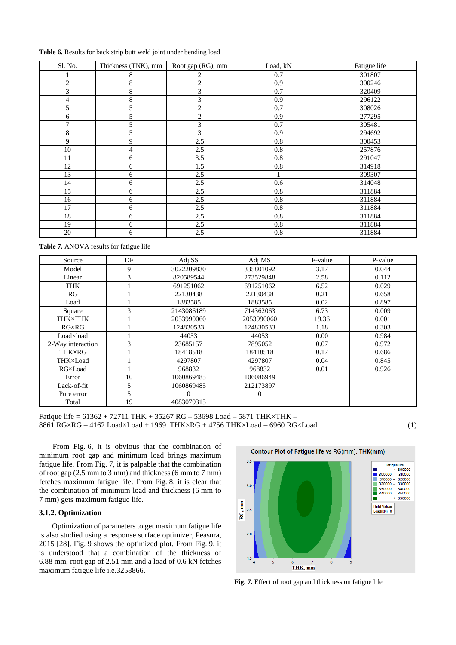|  |  |  |  | Table 6. Results for back strip butt weld joint under bending load |  |
|--|--|--|--|--------------------------------------------------------------------|--|
|  |  |  |  |                                                                    |  |

| Sl. No.        | Thickness (TNK), mm | Root gap (RG), mm | Load, kN | Fatigue life |
|----------------|---------------------|-------------------|----------|--------------|
|                | 8                   | 2                 | 0.7      | 301807       |
| $\overline{c}$ | 8                   | $\overline{c}$    | 0.9      | 300246       |
| 3              | 8                   | 3                 | 0.7      | 320409       |
| 4              | 8                   | 3                 | 0.9      | 296122       |
| 5              | 5                   | $\overline{c}$    | 0.7      | 308026       |
| 6              | 5                   | $\overline{c}$    | 0.9      | 277295       |
| 7              | 5                   | 3                 | 0.7      | 305481       |
| 8              | 5                   | 3                 | 0.9      | 294692       |
| 9              | 9                   | 2.5               | 0.8      | 300453       |
| 10             | 4                   | 2.5               | 0.8      | 257876       |
| 11             | 6                   | 3.5               | $0.8\,$  | 291047       |
| 12             | 6                   | 1.5               | $0.8\,$  | 314918       |
| 13             | 6                   | 2.5               |          | 309307       |
| 14             | 6                   | 2.5               | 0.6      | 314048       |
| 15             | 6                   | 2.5               | 0.8      | 311884       |
| 16             | 6                   | 2.5               | 0.8      | 311884       |
| 17             | 6                   | 2.5               | 0.8      | 311884       |
| 18             | 6                   | 2.5               | 0.8      | 311884       |
| 19             | 6                   | 2.5               | $0.8\,$  | 311884       |
| 20             | 6                   | 2.5               | 0.8      | 311884       |

**Table 7.** ANOVA results for fatigue life

| Source            | DF | Adj SS     | Adj MS       | F-value | P-value |
|-------------------|----|------------|--------------|---------|---------|
| Model             | 9  | 3022209830 | 335801092    | 3.17    | 0.044   |
| Linear            | 3  | 820589544  | 273529848    | 2.58    | 0.112   |
| <b>THK</b>        |    | 691251062  | 691251062    | 6.52    | 0.029   |
| RG                |    | 22130438   | 22130438     | 0.21    | 0.658   |
| Load              |    | 1883585    | 1883585      | 0.02    | 0.897   |
| Square            | 3  | 2143086189 | 714362063    | 6.73    | 0.009   |
| THK×THK           |    | 2053990060 | 2053990060   | 19.36   | 0.001   |
| $RG \times RG$    |    | 124830533  | 124830533    | 1.18    | 0.303   |
| Load×load         |    | 44053      | 44053        | 0.00    | 0.984   |
| 2-Way interaction | 3  | 23685157   | 7895052      | 0.07    | 0.972   |
| THK×RG            |    | 18418518   | 18418518     | 0.17    | 0.686   |
| THK×Load          |    | 4297807    | 4297807      | 0.04    | 0.845   |
| RG×Load           |    | 968832     | 968832       | 0.01    | 0.926   |
| Error             | 10 | 1060869485 | 106086949    |         |         |
| Lack-of-fit       | 5  | 1060869485 | 212173897    |         |         |
| Pure error        | 5  |            | $\mathbf{0}$ |         |         |
| Total             | 19 | 4083079315 |              |         |         |

Fatique life = 61362 + 72711 THK + 35267 RG – 53698 Load – 5871 THK×THK – 8861 RG×RG – 4162 Load×Load + 1969 THK×RG + 4756 THK×Load – 6960 RG×Load (1)

From Fig. 6, it is obvious that the combination of minimum root gap and minimum load brings maximum fatigue life. From Fig. 7, it is palpable that the combination of root gap (2.5 mm to 3 mm) and thickness (6 mm to 7 mm) fetches maximum fatigue life. From Fig. 8, it is clear that the combination of minimum load and thickness (6 mm to 7 mm) gets maximum fatigue life.

#### **3.1.2. Optimization**

Optimization of parameters to get maximum fatigue life is also studied using a response surface optimizer, Peasura, 2015 [28]. Fig. 9 shows the optimized plot. From Fig. 9, it is understood that a combination of the thickness of 6.88 mm, root gap of 2.51 mm and a load of 0.6 kN fetches maximum fatigue life i.e.3258866.



**Fig. 7.** Effect of root gap and thickness on fatigue life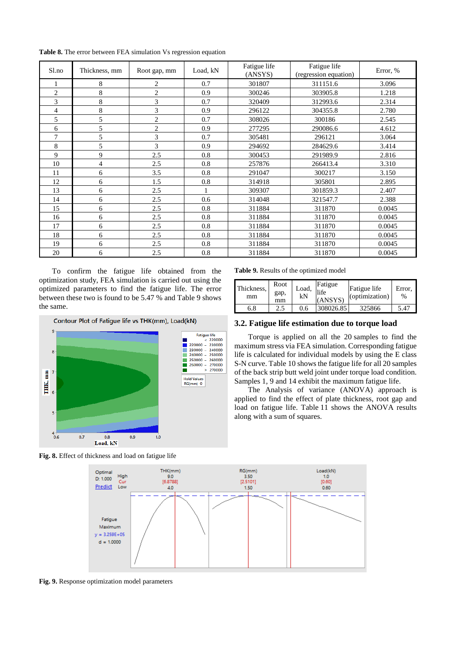| S1.no          | Thickness, mm | Root gap, mm   | Load, kN | Fatigue life<br>(ANSYS) | Fatigue life<br>(regression equation) | Error, % |
|----------------|---------------|----------------|----------|-------------------------|---------------------------------------|----------|
|                | 8             | 2              | 0.7      | 301807                  | 311151.6                              | 3.096    |
| $\overline{2}$ | 8             | $\overline{c}$ | 0.9      | 300246                  | 303905.8                              | 1.218    |
| 3              | 8             | 3              | 0.7      | 320409                  | 312993.6                              | 2.314    |
| 4              | 8             | 3              | 0.9      | 296122                  | 304355.8                              | 2.780    |
| 5              | 5             | $\overline{c}$ | 0.7      | 308026                  | 300186                                | 2.545    |
| 6              | 5             | $\overline{c}$ | 0.9      | 277295                  | 290086.6                              | 4.612    |
| 7              | 5             | 3              | 0.7      | 305481                  | 296121                                | 3.064    |
| 8              | 5             | 3              | 0.9      | 294692                  | 284629.6                              | 3.414    |
| 9              | 9             | 2.5            | 0.8      | 300453                  | 291989.9                              | 2.816    |
| 10             | 4             | 2.5            | 0.8      | 257876                  | 266413.4                              | 3.310    |
| 11             | 6             | 3.5            | 0.8      | 291047                  | 300217                                | 3.150    |
| 12             | 6             | 1.5            | 0.8      | 314918                  | 305801                                | 2.895    |
| 13             | 6             | 2.5            |          | 309307                  | 301859.3                              | 2.407    |
| 14             | 6             | 2.5            | 0.6      | 314048                  | 321547.7                              | 2.388    |
| 15             | 6             | 2.5            | 0.8      | 311884                  | 311870                                | 0.0045   |
| 16             | 6             | 2.5            | 0.8      | 311884                  | 311870                                | 0.0045   |
| 17             | 6             | 2.5            | 0.8      | 311884                  | 311870                                | 0.0045   |
| 18             | 6             | 2.5            | 0.8      | 311884                  | 311870                                | 0.0045   |
| 19             | 6             | 2.5            | 0.8      | 311884                  | 311870                                | 0.0045   |
| 20             | 6             | 2.5            | 0.8      | 311884                  | 311870                                | 0.0045   |

**Table 8.** The error between FEA simulation Vs regression equation

To confirm the fatigue life obtained from the optimization study, FEA simulation is carried out using the optimized parameters to find the fatigue life. The error between these two is found to be 5.47 % and Table 9 shows the same.







| Thickness,<br>mm | Root<br>gap,<br>mm | Load,<br>kN | Fatigue<br>life<br>(ANSYS) | Fatigue life<br>(optimization) | Error.<br>% |
|------------------|--------------------|-------------|----------------------------|--------------------------------|-------------|
| 6.8              | 2.5                | 0.6         | 308026.85                  | 325866                         | 5.47        |

### **3.2. Fatigue life estimation due to torque load**

Torque is applied on all the 20 samples to find the maximum stress via FEA simulation. Corresponding fatigue life is calculated for individual models by using the E class S-N curve. Table 10 shows the fatigue life for all 20 samples of the back strip butt weld joint under torque load condition. Samples 1, 9 and 14 exhibit the maximum fatigue life.

The Analysis of variance (ANOVA) approach is applied to find the effect of plate thickness, root gap and load on fatigue life. Table 11 shows the ANOVA results along with a sum of squares.



**Fig. 9.** Response optimization model parameters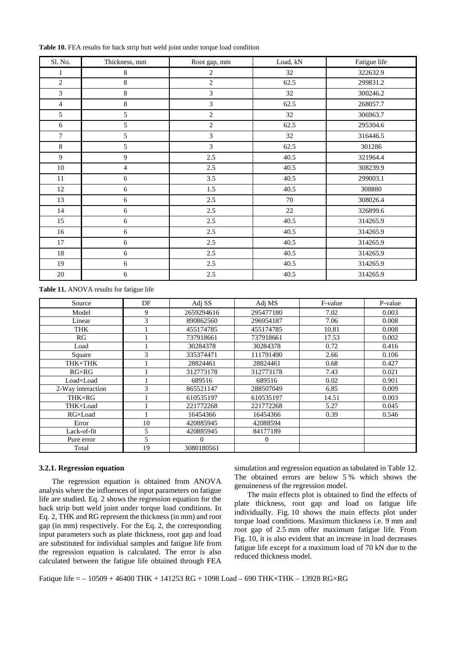| Sl. No.          | Thickness, mm  | Root gap, mm   | Load, kN | Fatigue life |
|------------------|----------------|----------------|----------|--------------|
| $\mathbf{1}$     | $\,8\,$        | $\sqrt{2}$     | 32       | 322632.9     |
| $\boldsymbol{2}$ | 8              | $\sqrt{2}$     | 62.5     | 299831.2     |
| 3                | $\,$ 8 $\,$    | $\mathfrak{Z}$ | 32       | 300246.2     |
| $\overline{4}$   | $\bf 8$        | 3              | 62.5     | 268057.7     |
| 5                | 5              | $\overline{2}$ | 32       | 306963.7     |
| 6                | 5              | $\sqrt{2}$     | 62.5     | 295304.6     |
| $\overline{7}$   | 5              | $\mathfrak{Z}$ | 32       | 316446.5     |
| 8                | 5              | $\overline{3}$ | 62.5     | 301286       |
| 9                | 9              | 2.5            | 40.5     | 321964.4     |
| 10               | $\overline{4}$ | 2.5            | 40.5     | 308239.9     |
| 11               | 6              | 3.5            | 40.5     | 299003.1     |
| 12               | $6\,$          | 1.5            | 40.5     | 308880       |
| 13               | 6              | 2.5            | $70\,$   | 308026.4     |
| 14               | 6              | 2.5            | $22\,$   | 326899.6     |
| 15               | 6              | 2.5            | 40.5     | 314265.9     |
| 16               | 6              | 2.5            | 40.5     | 314265.9     |
| 17               | $6\,$          | 2.5            | 40.5     | 314265.9     |
| 18               | 6              | 2.5            | 40.5     | 314265.9     |
| 19               | 6              | 2.5            | 40.5     | 314265.9     |
| 20               | 6              | 2.5            | 40.5     | 314265.9     |

**Table 10.** FEA results for back strip butt weld joint under torque load condition

**Table 11.** ANOVA results for fatigue life

| Source            | DF | Adj SS     | Adj MS    | F-value | P-value |
|-------------------|----|------------|-----------|---------|---------|
| Model             | 9  | 2659294616 | 295477180 | 7.02    | 0.003   |
| Linear            | 3  | 890862560  | 296954187 | 7.06    | 0.008   |
| <b>THK</b>        |    | 455174785  | 455174785 | 10.81   | 0.008   |
| RG                |    | 737918661  | 737918661 | 17.53   | 0.002   |
| Load              |    | 30284378   | 30284378  | 0.72    | 0.416   |
| Square            | 3  | 335374471  | 111791490 | 2.66    | 0.106   |
| <b>THK×THK</b>    |    | 28824461   | 28824461  | 0.68    | 0.427   |
| $RG \times RG$    |    | 312773178  | 312773178 | 7.43    | 0.021   |
| Load×Load         |    | 689516     | 689516    | 0.02    | 0.901   |
| 2-Way interaction | 3  | 865521147  | 288507049 | 6.85    | 0.009   |
| THK×RG            |    | 610535197  | 610535197 | 14.51   | 0.003   |
| THK×Load          |    | 221772268  | 221772268 | 5.27    | 0.045   |
| RG×Load           |    | 16454366   | 16454366  | 0.39    | 0.546   |
| Error             | 10 | 420885945  | 42088594  |         |         |
| Lack-of-fit       | 5  | 420885945  | 84177189  |         |         |
| Pure error        | 5  | $\Omega$   | 0         |         |         |
| Total             | 19 | 3080180561 |           |         |         |

#### **3.2.1. Regression equation**

The regression equation is obtained from ANOVA analysis where the influences of input parameters on fatigue life are studied. Eq. 2 shows the regression equation for the back strip butt weld joint under torque load conditions. In Eq. 2, THK and RG represent the thickness (in mm) and root gap (in mm) respectively. For the Eq. 2, the corresponding input parameters such as plate thickness, root gap and load are substituted for individual samples and fatigue life from the regression equation is calculated. The error is also calculated between the fatigue life obtained through FEA simulation and regression equation as tabulated in Table 12. The obtained errors are below 5 % which shows the genuineness of the regression model.

The main effects plot is obtained to find the effects of plate thickness, root gap and load on fatigue life individually. Fig. 10 shows the main effects plot under torque load conditions. Maximum thickness i.e. 9 mm and root gap of 2.5 mm offer maximum fatigue life. From Fig. 10, it is also evident that an increase in load decreases fatigue life except for a maximum load of 70 kN due to the reduced thickness model.

Fatique life = – 10509 + 46400 THK + 141253 RG + 1098 Load – 690 THK×THK – 13928 RG×RG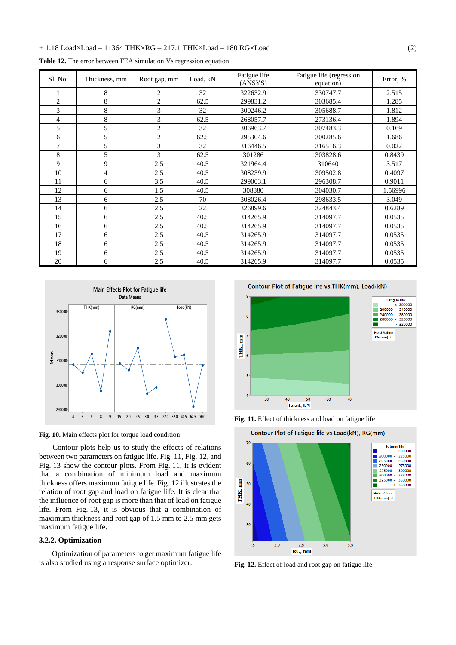### + 1.18 Load×Load – 11364 THK×RG – 217.1 THK×Load – 180 RG×Load (2)

|  |  |  |  |  | Table 12. The error between FEA simulation Vs regression equation |  |  |  |
|--|--|--|--|--|-------------------------------------------------------------------|--|--|--|
|--|--|--|--|--|-------------------------------------------------------------------|--|--|--|

| Sl. No.        | Thickness, mm  | Root gap, mm   | Load, kN | Fatigue life<br>(ANSYS) | Fatigue life (regression<br>equation) | Error, % |
|----------------|----------------|----------------|----------|-------------------------|---------------------------------------|----------|
|                | 8              | $\overline{2}$ | 32       | 322632.9                | 330747.7                              | 2.515    |
| $\overline{2}$ | 8              | $\overline{c}$ | 62.5     | 299831.2                | 303685.4                              | 1.285    |
| 3              | 8              | 3              | 32       | 300246.2                | 305688.7                              | 1.812    |
| $\overline{4}$ | 8              | 3              | 62.5     | 268057.7                | 273136.4                              | 1.894    |
| 5              | 5              | $\overline{c}$ | 32       | 306963.7                | 307483.3                              | 0.169    |
| 6              | 5              | $\overline{2}$ | 62.5     | 295304.6                | 300285.6                              | 1.686    |
| 7              | 5              | 3              | 32       | 316446.5                | 316516.3                              | 0.022    |
| 8              | 5              | 3              | 62.5     | 301286                  | 303828.6                              | 0.8439   |
| 9              | 9              | 2.5            | 40.5     | 321964.4                | 310640                                | 3.517    |
| 10             | $\overline{4}$ | 2.5            | 40.5     | 308239.9                | 309502.8                              | 0.4097   |
| 11             | 6              | 3.5            | 40.5     | 299003.1                | 296308.7                              | 0.9011   |
| 12             | 6              | 1.5            | 40.5     | 308880                  | 304030.7                              | 1.56996  |
| 13             | 6              | 2.5            | 70       | 308026.4                | 298633.5                              | 3.049    |
| 14             | 6              | 2.5            | 22       | 326899.6                | 324843.4                              | 0.6289   |
| 15             | 6              | 2.5            | 40.5     | 314265.9                | 314097.7                              | 0.0535   |
| 16             | 6              | 2.5            | 40.5     | 314265.9                | 314097.7                              | 0.0535   |
| 17             | 6              | 2.5            | 40.5     | 314265.9                | 314097.7                              | 0.0535   |
| 18             | 6              | 2.5            | 40.5     | 314265.9                | 314097.7                              | 0.0535   |
| 19             | 6              | 2.5            | 40.5     | 314265.9                | 314097.7                              | 0.0535   |
| 20             | 6              | 2.5            | 40.5     | 314265.9                | 314097.7                              | 0.0535   |





Contour plots help us to study the effects of relations between two parameters on fatigue life. Fig. 11, Fig. 12, and Fig. 13 show the contour plots. From Fig. 11, it is evident that a combination of minimum load and maximum thickness offers maximum fatigue life. Fig. 12 illustrates the relation of root gap and load on fatigue life. It is clear that the influence of root gap is more than that of load on fatigue life. From Fig. 13, it is obvious that a combination of maximum thickness and root gap of 1.5 mm to 2.5 mm gets maximum fatigue life.

### **3.2.2. Optimization**

Optimization of parameters to get maximum fatigue life is also studied using a response surface optimizer.

Contour Plot of Fatigue life vs THK(mm), Load(kN) 9 **Fatigue life**  $\begin{array}{rcl} \text{Figure 10E} \\ & < 200000 \\ & < 200000 \\ & < 240000 \\ & < 240000 \\ & < 280000 \\ & > 320000 \end{array}$ 8 **Hold Values** Ē 7 RG(mm) 0 THK,  $\overline{6}$  $\overline{\phantom{a}}$  $\overline{4}$  $30$ 40 50 60 70 Load, kN





**Fig. 12.** Effect of load and root gap on fatigue life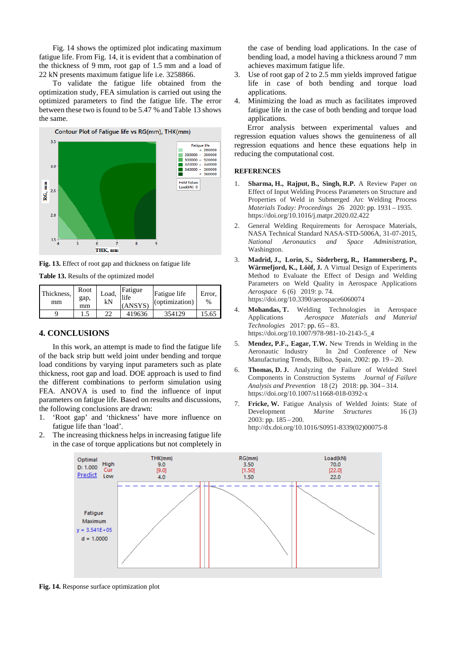Fig. 14 shows the optimized plot indicating maximum fatigue life. From Fig. 14, it is evident that a combination of the thickness of 9 mm, root gap of 1.5 mm and a load of 22 kN presents maximum fatigue life i.e. 3258866.

To validate the fatigue life obtained from the optimization study, FEA simulation is carried out using the optimized parameters to find the fatigue life. The error between these two is found to be 5.47 % and Table 13 shows the same.



**Fig. 13.** Effect of root gap and thickness on fatigue life

| <b>Table 13.</b> Results of the optimized model |
|-------------------------------------------------|
|-------------------------------------------------|

| Thickness,<br>mm | Root<br>gap,<br>mm | Load,<br>kN | Fatigue<br>life<br>(ANSYS) | Fatigue life<br>(optimization) | Error.<br>$\%$ |
|------------------|--------------------|-------------|----------------------------|--------------------------------|----------------|
|                  |                    | າາ          | 419636                     | 354129                         | 15.65          |

### **4. CONCLUSIONS**

In this work, an attempt is made to find the fatigue life of the back strip butt weld joint under bending and torque load conditions by varying input parameters such as plate thickness, root gap and load. DOE approach is used to find the different combinations to perform simulation using FEA. ANOVA is used to find the influence of input parameters on fatigue life. Based on results and discussions, the following conclusions are drawn:

- 1. 'Root gap' and 'thickness' have more influence on fatigue life than 'load'.
- 2. The increasing thickness helps in increasing fatigue life in the case of torque applications but not completely in

the case of bending load applications. In the case of bending load, a model having a thickness around 7 mm achieves maximum fatigue life.

- 3. Use of root gap of 2 to 2.5 mm yields improved fatigue life in case of both bending and torque load applications.
- 4. Minimizing the load as much as facilitates improved fatigue life in the case of both bending and torque load applications.

Error analysis between experimental values and regression equation values shows the genuineness of all regression equations and hence these equations help in reducing the computational cost.

#### **REFERENCES**

- 1. **Sharma, H., Rajput, B., Singh, R.P.** A Review Paper on Effect of Input Welding Process Parameters on Structure and Properties of Weld in Submerged Arc Welding Process *Materials Today: Proceedings* 26 2020: pp. 1931 – 1935. https://doi.org/10.1016/j.matpr.2020.02.422
- 2. General Welding Requirements for Aerospace Materials, NASA Technical Standard NASA-STD-5006A, 31-07-2015, *National Aeronautics and Space Administration*, Washington.
- 3. **Madrid, J., Lorin, S., Söderberg, R., Hammersberg, P., Wärmefjord, K., Lööf, J.** A Virtual Design of Experiments Method to Evaluate the Effect of Design and Welding Parameters on Weld Quality in Aerospace Applications *Aerospace* 6 (6) 2019: p. 74. https://doi.org/10.3390/aerospace6060074
- 4. **Mohandas, T.** Welding Technologies in Aerospace Applications *Aerospace Materials and Material Technologies* 2017: pp. 65 – 83. https://doi.org/10.1007/978-981-10-2143-5\_4
- 5. **Mendez, P.F., Eagar, T.W.** New Trends in Welding in the In 2nd Conference of New Manufacturing Trends, Bilboa, Spain, 2002: pp. 19 – 20.
- 6. **Thomas, D. J.** Analyzing the Failure of Welded Steel Components in Construction Systems *Journal of Failure Analysis and Prevention* 18 (2) 2018: pp. 304 – 314. https://doi.org/10.1007/s11668-018-0392-x
- 7. **Fricke, W.** Fatigue Analysis of Welded Joints: State of Development *Marine Structures* 16 (3) 2003: pp. 185 – 200. http://dx.doi.org/10.1016/S0951-8339(02)00075-8



**Fig. 14.** Response surface optimization plot